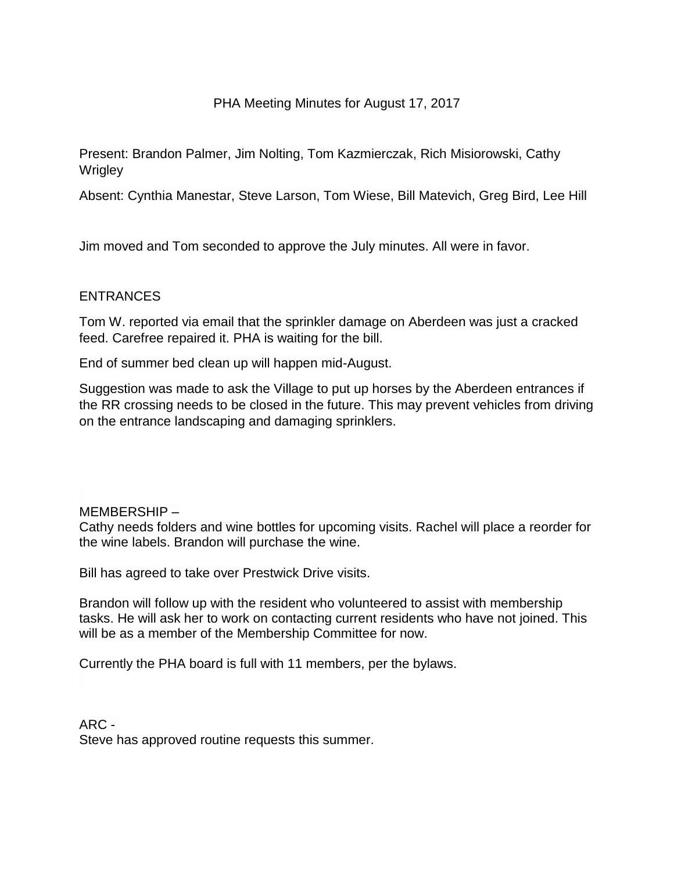## PHA Meeting Minutes for August 17, 2017

Present: Brandon Palmer, Jim Nolting, Tom Kazmierczak, Rich Misiorowski, Cathy **Wrigley** 

Absent: Cynthia Manestar, Steve Larson, Tom Wiese, Bill Matevich, Greg Bird, Lee Hill

Jim moved and Tom seconded to approve the July minutes. All were in favor.

# ENTRANCES

Tom W. reported via email that the sprinkler damage on Aberdeen was just a cracked feed. Carefree repaired it. PHA is waiting for the bill.

End of summer bed clean up will happen mid-August.

Suggestion was made to ask the Village to put up horses by the Aberdeen entrances if the RR crossing needs to be closed in the future. This may prevent vehicles from driving on the entrance landscaping and damaging sprinklers.

#### MEMBERSHIP –

Cathy needs folders and wine bottles for upcoming visits. Rachel will place a reorder for the wine labels. Brandon will purchase the wine.

Bill has agreed to take over Prestwick Drive visits.

Brandon will follow up with the resident who volunteered to assist with membership tasks. He will ask her to work on contacting current residents who have not joined. This will be as a member of the Membership Committee for now.

Currently the PHA board is full with 11 members, per the bylaws.

ARC - Steve has approved routine requests this summer.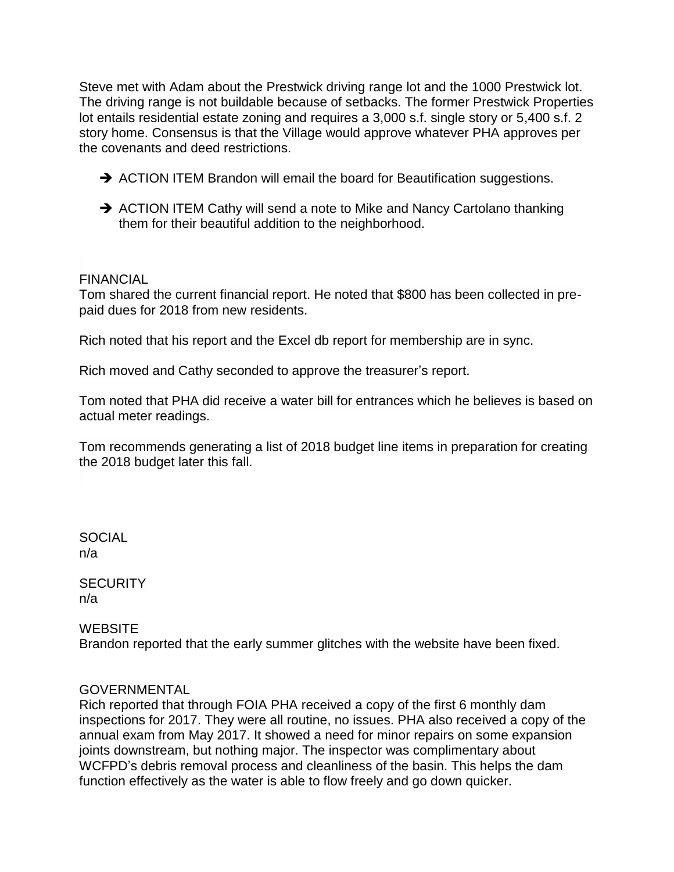Steve met with Adam about the Prestwick driving range lot and the 1000 Prestwick lot. The driving range is not buildable because of setbacks. The former Prestwick Properties lot entails residential estate zoning and requires a 3,000 s.f. single story or 5,400 s.f. 2 story home. Consensus is that the Village would approve whatever PHA approves per the covenants and deed restrictions.

- ACTION ITEM Brandon will email the board for Beautification suggestions.
- → ACTION ITEM Cathy will send a note to Mike and Nancy Cartolano thanking them for their beautiful addition to the neighborhood.

# FINANCIAL

Tom shared the current financial report. He noted that \$800 has been collected in prepaid dues for 2018 from new residents.

Rich noted that his report and the Excel db report for membership are in sync.

Rich moved and Cathy seconded to approve the treasurer's report.

Tom noted that PHA did receive a water bill for entrances which he believes is based on actual meter readings.

Tom recommends generating a list of 2018 budget line items in preparation for creating the 2018 budget later this fall.

**SOCIAL** n/a

**SECURITY** n/a

# **WEBSITE**

Brandon reported that the early summer glitches with the website have been fixed.

#### GOVERNMENTAL

Rich reported that through FOIA PHA received a copy of the first 6 monthly dam inspections for 2017. They were all routine, no issues. PHA also received a copy of the annual exam from May 2017. It showed a need for minor repairs on some expansion joints downstream, but nothing major. The inspector was complimentary about WCFPD's debris removal process and cleanliness of the basin. This helps the dam function effectively as the water is able to flow freely and go down quicker.